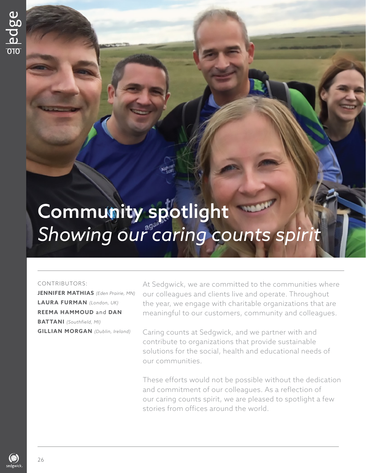# Community spotlight *Showing our caring counts spirit*

#### CONTRIBUTORS:

**JENNIFER MATHIAS** *(Eden Prairie, MN)*  **LAURA FURMAN** *(London, UK)*  **REEMA HAMMOUD** and **DAN BATTANI** *(Southfield, MI)*  **GILLIAN MORGAN** *(Dublin, Ireland)* 

At Sedgwick, we are committed to the communities where our colleagues and clients live and operate. Throughout the year, we engage with charitable organizations that are meaningful to our customers, community and colleagues.

Caring counts at Sedgwick, and we partner with and contribute to organizations that provide sustainable solutions for the social, health and educational needs of our communities.

These efforts would not be possible without the dedication and commitment of our colleagues. As a reflection of our caring counts spirit, we are pleased to spotlight a few stories from offices around the world.

26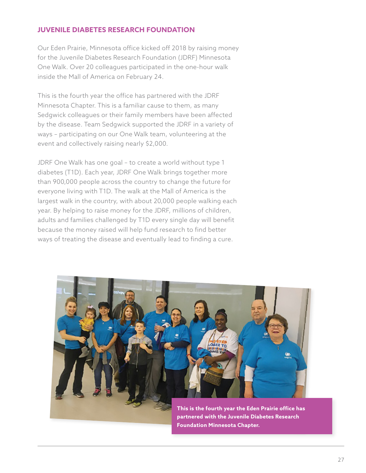## **JUVENILE DIABETES RESEARCH FOUNDATION**

Our Eden Prairie, Minnesota office kicked off 2018 by raising money for the Juvenile Diabetes Research Foundation (JDRF) Minnesota One Walk. Over 20 colleagues participated in the one-hour walk inside the Mall of America on February 24.

 event and collectively raising nearly \$2,000. This is the fourth year the office has partnered with the JDRF Minnesota Chapter. This is a familiar cause to them, as many Sedgwick colleagues or their family members have been affected by the disease. Team Sedgwick supported the JDRF in a variety of ways – participating on our One Walk team, volunteering at the

JDRF One Walk has one goal – to create a world without type 1 diabetes (T1D). Each year, JDRF One Walk brings together more than 900,000 people across the country to change the future for everyone living with T1D. The walk at the Mall of America is the largest walk in the country, with about 20,000 people walking each year. By helping to raise money for the JDRF, millions of children, adults and families challenged by T1D every single day will benefit because the money raised will help fund research to find better ways of treating the disease and eventually lead to finding a cure.



**partnered with the Juvenile Diabetes Research Foundation Minnesota Chapter.**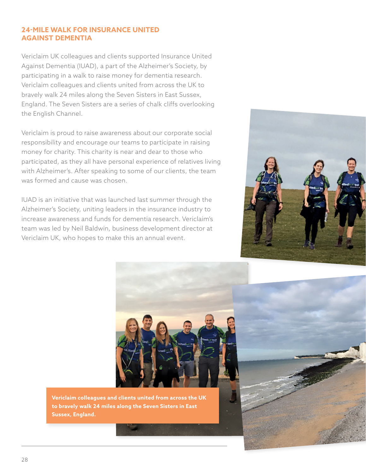## **24-MILE WALK FOR INSURANCE UNITED AGAINST DEMENTIA**

Vericlaim UK colleagues and clients supported Insurance United Against Dementia (IUAD), a part of the Alzheimer's Society, by participating in a walk to raise money for dementia research. Vericlaim colleagues and clients united from across the UK to bravely walk 24 miles along the Seven Sisters in East Sussex, England. The Seven Sisters are a series of chalk cliffs overlooking the English Channel.

Vericlaim is proud to raise awareness about our corporate social responsibility and encourage our teams to participate in raising money for charity. This charity is near and dear to those who participated, as they all have personal experience of relatives living with Alzheimer's. After speaking to some of our clients, the team was formed and cause was chosen.

IUAD is an initiative that was launched last summer through the Alzheimer's Society, uniting leaders in the insurance industry to increase awareness and funds for dementia research. Vericlaim's team was led by Neil Baldwin, business development director at Vericlaim UK, who hopes to make this an annual event.





**Vericlaim colleagues and clients united from across the UK to bravely walk 24 miles along the Seven Sisters in East Sussex, England.** 

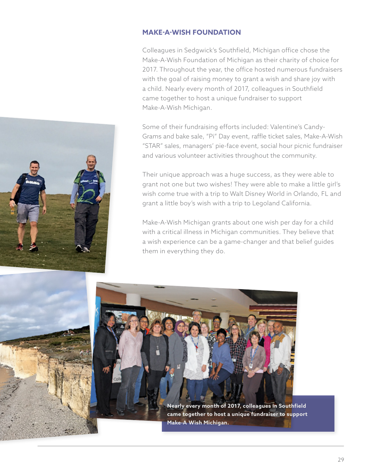## **MAKE-A-WISH FOUNDATION**

Colleagues in Sedgwick's Southfield, Michigan office chose the Make-A-Wish Foundation of Michigan as their charity of choice for 2017. Throughout the year, the office hosted numerous fundraisers with the goal of raising money to grant a wish and share joy with a child. Nearly every month of 2017, colleagues in Southfield came together to host a unique fundraiser to support Make-A-Wish Michigan.

Some of their fundraising efforts included: Valentine's Candy-Grams and bake sale, "Pi" Day event, raffe ticket sales, Make-A-Wish "STAR" sales, managers' pie-face event, social hour picnic fundraiser and various volunteer activities throughout the community.

Their unique approach was a huge success, as they were able to grant not one but two wishes! They were able to make a little girl's wish come true with a trip to Walt Disney World in Orlando, FL and grant a little boy's wish with a trip to Legoland California.

Make-A-Wish Michigan grants about one wish per day for a child with a critical illness in Michigan communities. They believe that a wish experience can be a game-changer and that belief guides them in everything they do.